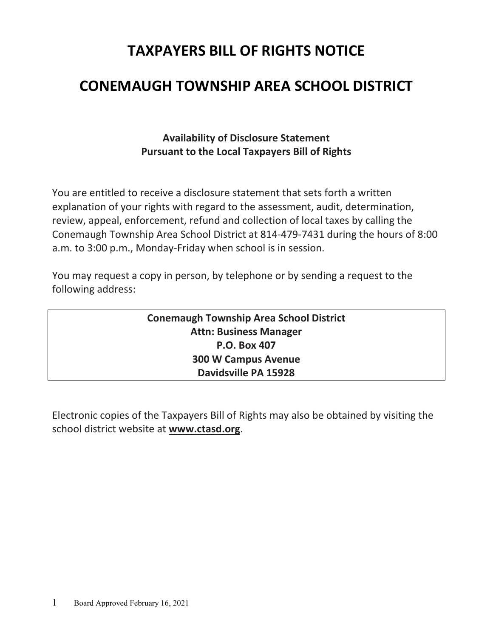# **TAXPAYERS BILL OF RIGHTS NOTICE**

# **CONEMAUGH TOWNSHIP AREA SCHOOL DISTRICT**

## **Availability of Disclosure Statement Pursuant to the Local Taxpayers Bill of Rights**

You are entitled to receive a disclosure statement that sets forth a written explanation of your rights with regard to the assessment, audit, determination, review, appeal, enforcement, refund and collection of local taxes by calling the Conemaugh Township Area School District at 814-479-7431 during the hours of 8:00 a.m. to 3:00 p.m., Monday-Friday when school is in session.

You may request a copy in person, by telephone or by sending a request to the following address:

> **Conemaugh Township Area School District Attn: Business Manager P.O. Box 407 300 W Campus Avenue Davidsville PA 15928**

Electronic copies of the Taxpayers Bill of Rights may also be obtained by visiting the school district website at **www.ctasd.org**.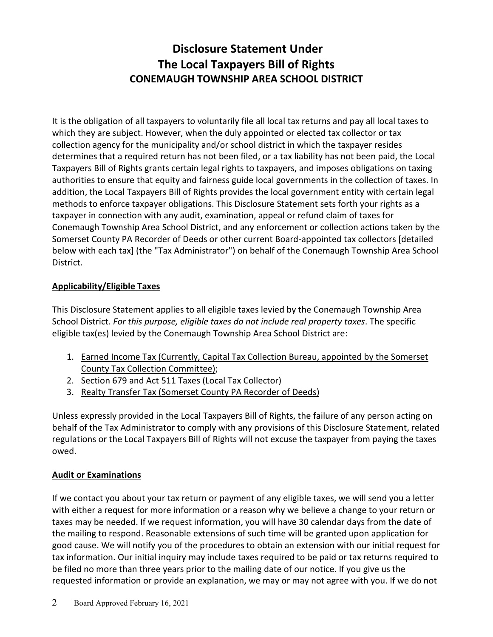## **Disclosure Statement Under The Local Taxpayers Bill of Rights CONEMAUGH TOWNSHIP AREA SCHOOL DISTRICT**

It is the obligation of all taxpayers to voluntarily file all local tax returns and pay all local taxes to which they are subject. However, when the duly appointed or elected tax collector or tax collection agency for the municipality and/or school district in which the taxpayer resides determines that a required return has not been filed, or a tax liability has not been paid, the Local Taxpayers Bill of Rights grants certain legal rights to taxpayers, and imposes obligations on taxing authorities to ensure that equity and fairness guide local governments in the collection of taxes. In addition, the Local Taxpayers Bill of Rights provides the local government entity with certain legal methods to enforce taxpayer obligations. This Disclosure Statement sets forth your rights as a taxpayer in connection with any audit, examination, appeal or refund claim of taxes for Conemaugh Township Area School District, and any enforcement or collection actions taken by the Somerset County PA Recorder of Deeds or other current Board-appointed tax collectors [detailed below with each tax] (the "Tax Administrator") on behalf of the Conemaugh Township Area School District.

#### **Applicability/Eligible Taxes**

This Disclosure Statement applies to all eligible taxes levied by the Conemaugh Township Area School District. *For this purpose, eligible taxes do not include real property taxes*. The specific eligible tax(es) levied by the Conemaugh Township Area School District are:

- 1. Earned Income Tax (Currently, Capital Tax Collection Bureau, appointed by the Somerset County Tax Collection Committee);
- 2. Section 679 and Act 511 Taxes (Local Tax Collector)
- 3. Realty Transfer Tax (Somerset County PA Recorder of Deeds)

Unless expressly provided in the Local Taxpayers Bill of Rights, the failure of any person acting on behalf of the Tax Administrator to comply with any provisions of this Disclosure Statement, related regulations or the Local Taxpayers Bill of Rights will not excuse the taxpayer from paying the taxes owed.

#### **Audit or Examinations**

If we contact you about your tax return or payment of any eligible taxes, we will send you a letter with either a request for more information or a reason why we believe a change to your return or taxes may be needed. If we request information, you will have 30 calendar days from the date of the mailing to respond. Reasonable extensions of such time will be granted upon application for good cause. We will notify you of the procedures to obtain an extension with our initial request for tax information. Our initial inquiry may include taxes required to be paid or tax returns required to be filed no more than three years prior to the mailing date of our notice. If you give us the requested information or provide an explanation, we may or may not agree with you. If we do not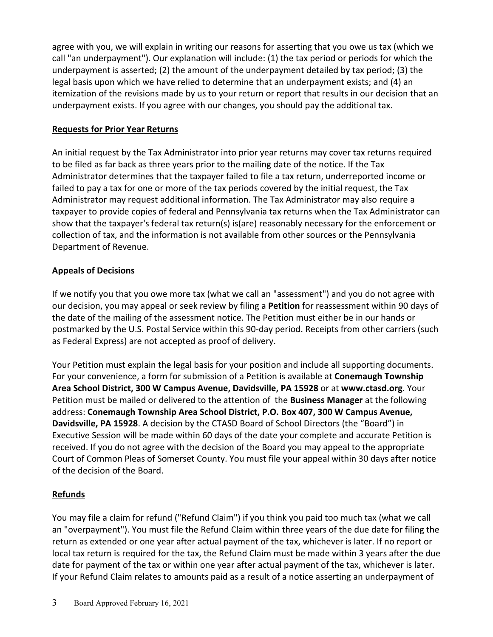agree with you, we will explain in writing our reasons for asserting that you owe us tax (which we call "an underpayment"). Our explanation will include: (1) the tax period or periods for which the underpayment is asserted; (2) the amount of the underpayment detailed by tax period; (3) the legal basis upon which we have relied to determine that an underpayment exists; and (4) an itemization of the revisions made by us to your return or report that results in our decision that an underpayment exists. If you agree with our changes, you should pay the additional tax.

#### **Requests for Prior Year Returns**

An initial request by the Tax Administrator into prior year returns may cover tax returns required to be filed as far back as three years prior to the mailing date of the notice. If the Tax Administrator determines that the taxpayer failed to file a tax return, underreported income or failed to pay a tax for one or more of the tax periods covered by the initial request, the Tax Administrator may request additional information. The Tax Administrator may also require a taxpayer to provide copies of federal and Pennsylvania tax returns when the Tax Administrator can show that the taxpayer's federal tax return(s) is(are) reasonably necessary for the enforcement or collection of tax, and the information is not available from other sources or the Pennsylvania Department of Revenue.

#### **Appeals of Decisions**

If we notify you that you owe more tax (what we call an "assessment") and you do not agree with our decision, you may appeal or seek review by filing a **Petition** for reassessment within 90 days of the date of the mailing of the assessment notice. The Petition must either be in our hands or postmarked by the U.S. Postal Service within this 90-day period. Receipts from other carriers (such as Federal Express) are not accepted as proof of delivery.

Your Petition must explain the legal basis for your position and include all supporting documents. For your convenience, a form for submission of a Petition is available at **Conemaugh Township Area School District, 300 W Campus Avenue, Davidsville, PA 15928** or at **www.ctasd.org**. Your Petition must be mailed or delivered to the attention of the **Business Manager** at the following address: **Conemaugh Township Area School District, P.O. Box 407, 300 W Campus Avenue, Davidsville, PA 15928**. A decision by the CTASD Board of School Directors (the "Board") in Executive Session will be made within 60 days of the date your complete and accurate Petition is received. If you do not agree with the decision of the Board you may appeal to the appropriate Court of Common Pleas of Somerset County. You must file your appeal within 30 days after notice of the decision of the Board.

### **Refunds**

You may file a claim for refund ("Refund Claim") if you think you paid too much tax (what we call an "overpayment"). You must file the Refund Claim within three years of the due date for filing the return as extended or one year after actual payment of the tax, whichever is later. If no report or local tax return is required for the tax, the Refund Claim must be made within 3 years after the due date for payment of the tax or within one year after actual payment of the tax, whichever is later. If your Refund Claim relates to amounts paid as a result of a notice asserting an underpayment of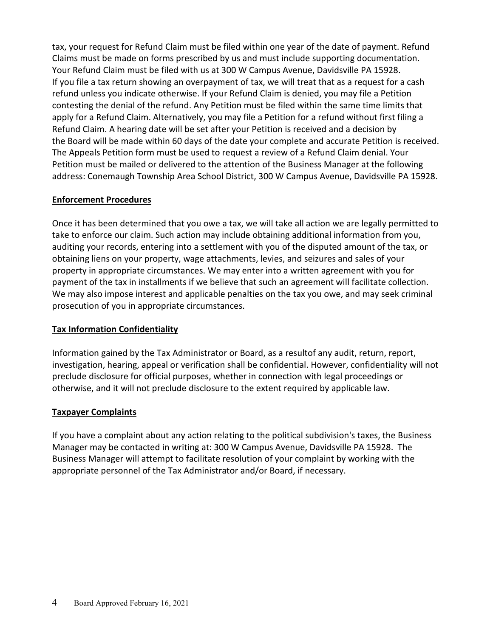tax, your request for Refund Claim must be filed within one year of the date of payment. Refund Claims must be made on forms prescribed by us and must include supporting documentation. Your Refund Claim must be filed with us at 300 W Campus Avenue, Davidsville PA 15928. If you file a tax return showing an overpayment of tax, we will treat that as a request for a cash refund unless you indicate otherwise. If your Refund Claim is denied, you may file a Petition contesting the denial of the refund. Any Petition must be filed within the same time limits that apply for a Refund Claim. Alternatively, you may file a Petition for a refund without first filing a Refund Claim. A hearing date will be set after your Petition is received and a decision by the Board will be made within 60 days of the date your complete and accurate Petition is received. The Appeals Petition form must be used to request a review of a Refund Claim denial. Your Petition must be mailed or delivered to the attention of the Business Manager at the following address: Conemaugh Township Area School District, 300 W Campus Avenue, Davidsville PA 15928.

#### **Enforcement Procedures**

Once it has been determined that you owe a tax, we will take all action we are legally permitted to take to enforce our claim. Such action may include obtaining additional information from you, auditing your records, entering into a settlement with you of the disputed amount of the tax, or obtaining liens on your property, wage attachments, levies, and seizures and sales of your property in appropriate circumstances. We may enter into a written agreement with you for payment of the tax in installments if we believe that such an agreement will facilitate collection. We may also impose interest and applicable penalties on the tax you owe, and may seek criminal prosecution of you in appropriate circumstances.

#### **Tax Information Confidentiality**

Information gained by the Tax Administrator or Board, as a resultof any audit, return, report, investigation, hearing, appeal or verification shall be confidential. However, confidentiality will not preclude disclosure for official purposes, whether in connection with legal proceedings or otherwise, and it will not preclude disclosure to the extent required by applicable law.

#### **Taxpayer Complaints**

If you have a complaint about any action relating to the political subdivision's taxes, the Business Manager may be contacted in writing at: 300 W Campus Avenue, Davidsville PA 15928. The Business Manager will attempt to facilitate resolution of your complaint by working with the appropriate personnel of the Tax Administrator and/or Board, if necessary.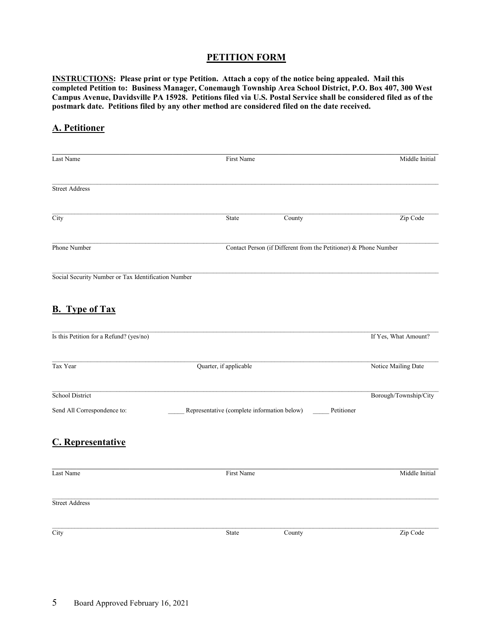#### **PETITION FORM**

**INSTRUCTIONS: Please print or type Petition. Attach a copy of the notice being appealed. Mail this completed Petition to: Business Manager, Conemaugh Township Area School District, P.O. Box 407, 300 West Campus Avenue, Davidsville PA 15928. Petitions filed via U.S. Postal Service shall be considered filed as of the postmark date. Petitions filed by any other method are considered filed on the date received.**

#### **A. Petitioner**

| Last Name                                             |                        | First Name                                                       |                                             | Middle Initial                      |
|-------------------------------------------------------|------------------------|------------------------------------------------------------------|---------------------------------------------|-------------------------------------|
| <b>Street Address</b>                                 |                        |                                                                  |                                             |                                     |
| City                                                  |                        | State                                                            | County                                      | Zip Code                            |
| Phone Number                                          |                        | Contact Person (if Different from the Petitioner) & Phone Number |                                             |                                     |
| Social Security Number or Tax Identification Number   |                        |                                                                  |                                             |                                     |
| <b>B.</b> Type of Tax                                 |                        |                                                                  |                                             |                                     |
| Is this Petition for a Refund? (yes/no)               |                        |                                                                  |                                             | If Yes, What Amount?                |
| Tax Year                                              | Quarter, if applicable | Notice Mailing Date                                              |                                             |                                     |
| <b>School District</b><br>Send All Correspondence to: |                        |                                                                  | Representative (complete information below) | Borough/Township/City<br>Petitioner |
| <b>C.</b> Representative                              |                        |                                                                  |                                             |                                     |
| Last Name                                             |                        | First Name                                                       |                                             | Middle Initial                      |
| <b>Street Address</b>                                 |                        |                                                                  |                                             |                                     |
| City                                                  |                        | State                                                            | County                                      | Zip Code                            |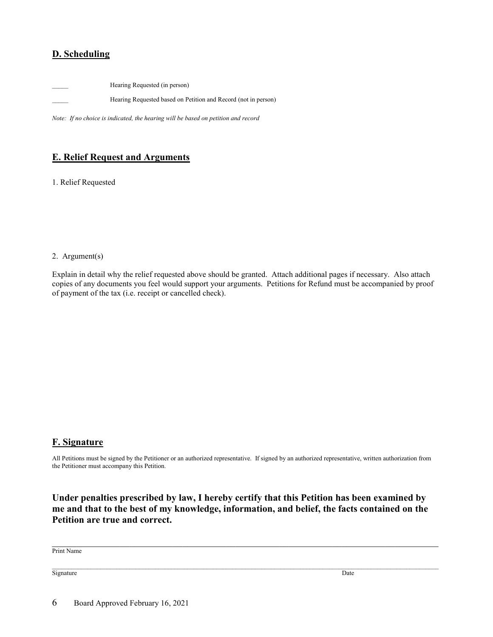#### **D. Scheduling**

Hearing Requested (in person)

Hearing Requested based on Petition and Record (not in person)

*Note: If no choice is indicated, the hearing will be based on petition and record*

#### **E. Relief Request and Arguments**

1. Relief Requested

#### 2. Argument(s)

Explain in detail why the relief requested above should be granted. Attach additional pages if necessary. Also attach copies of any documents you feel would support your arguments. Petitions for Refund must be accompanied by proof of payment of the tax (i.e. receipt or cancelled check).

#### **F. Signature**

All Petitions must be signed by the Petitioner or an authorized representative. If signed by an authorized representative, written authorization from the Petitioner must accompany this Petition.

**Under penalties prescribed by law, I hereby certify that this Petition has been examined by me and that to the best of my knowledge, information, and belief, the facts contained on the Petition are true and correct.**

Print Name

Signature Date by the Contract of the Contract of the Contract of the Contract of the Date of the Date of the Date of the Date of the Contract of the Contract of the Contract of the Contract of the Contract of the Contract